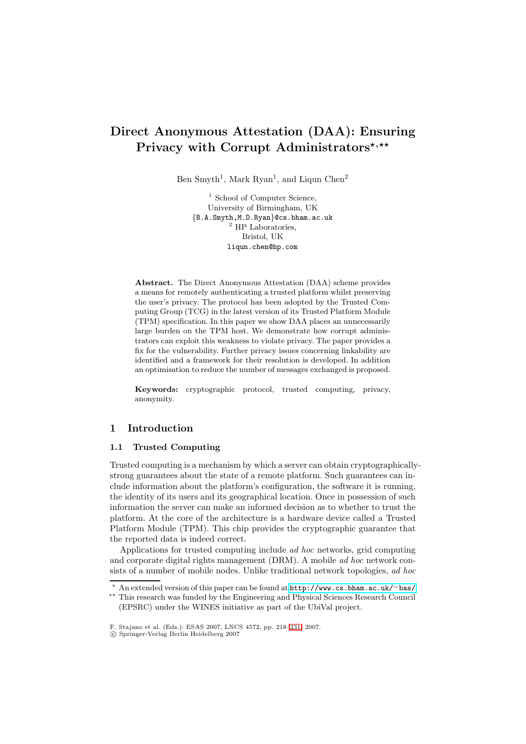# **Direct Anonymous Attestation (DAA): Ensuring** Privacy with Corrupt Administrators\*,\*\*

Ben Smyth<sup>1</sup>, Mark Ryan<sup>1</sup>, and Liqun Chen<sup>2</sup>

<sup>1</sup> School of Computer Science, University of Birmingham, UK {B.A.Smyth,M.D.Ryan}@cs.bham.ac.uk <sup>2</sup> HP Laboratories, Bristol, UK liqun.chen@hp.com

**Abstract.** The Direct Anonymous Attestation (DAA) scheme provides a means for remotely authenticating a trusted platform whilst preserving the user's privacy. The protocol has been adopted by the Trusted Computing Group (TCG) in the latest version of its Trusted Platform Module (TPM) specification. In this paper we show DAA places an unnecessarily large burden on the TPM host. We demonstrate how corrupt administrators can exploit this weakness to violate privacy. The paper provides a fix for the vulnerability. Further privacy issues concerning linkability are identified and a framework for their resolution is developed. In addition an optimisation to reduce the number of messages exchanged is proposed.

**Keywords:** cryptographic protocol, trusted computing, privacy, anonymity.

## **1 Introduction**

#### **1.1 Trusted Computing**

Trusted computing is a mechanism by which a server can obtain cryptographicallystrong guarantees about the state of a remote platform. Such guarantees can include information about the platform's configuration, the software it is running, the identity of its users and its geographical location. Once in possession of such information the server can make an informed decision as to whether to trust the platform. At the core of the architecture is a hardware device called a Trusted Platform Module (TPM). This chip provides the cryptographic guarantee that the reported data is indeed correct.

Applications for trusted computing include ad hoc networks, grid computing and corporate digital rights management (DRM). A mobile ad hoc network consists of a number of mobile nodes. Unlike traditional network topologies, ad hoc

<sup>-</sup> An extended version of this paper can be found at [http://www.cs.bham.ac.uk/](http://www.cs.bham.ac.uk/~bas/)<sup>∼</sup>bas/

<sup>\*\*</sup> This research was funded by the Engineering and Physical Sciences Research Council (EPSRC) under the WINES initiative as part of the UbiVal project.

F. Stajano et al. (Eds.): ESAS 2007, LNCS 4572, pp. 218[–231,](#page-12-0) 2007.

<sup>-</sup>c Springer-Verlag Berlin Heidelberg 2007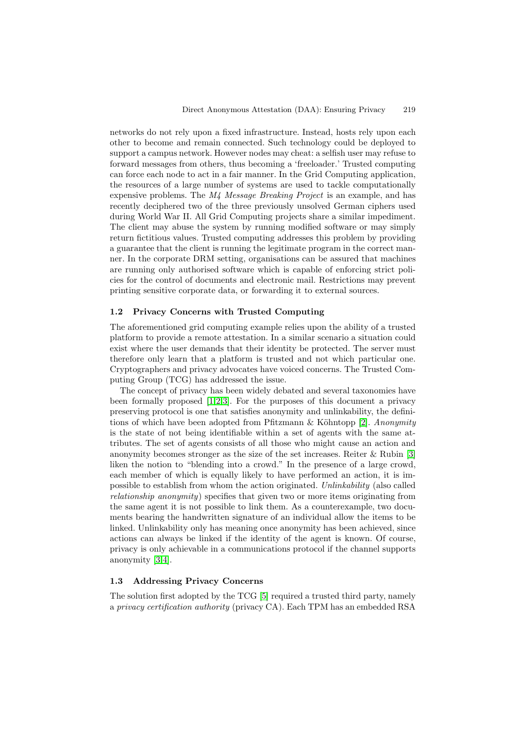networks do not rely upon a fixed infrastructure. Instead, hosts rely upon each other to become and remain connected. Such technology could be deployed to support a campus network. However nodes may cheat: a selfish user may refuse to forward messages from others, thus becoming a 'freeloader.' Trusted computing can force each node to act in a fair manner. In the Grid Computing application, the resources of a large number of systems are used to tackle computationally expensive problems. The  $M<sub>4</sub>$  Message Breaking Project is an example, and has recently deciphered two of the three previously unsolved German ciphers used during World War II. All Grid Computing projects share a similar impediment. The client may abuse the system by running modified software or may simply return fictitious values. Trusted computing addresses this problem by providing a guarantee that the client is running the legitimate program in the correct manner. In the corporate DRM setting, organisations can be assured that machines are running only authorised software which is capable of enforcing strict policies for the control of documents and electronic mail. Restrictions may prevent printing sensitive corporate data, or forwarding it to external sources.

#### **1.2 Privacy Concerns with Trusted Computing**

The aforementioned grid computing example relies upon the ability of a trusted platform to provide a remote attestation. In a similar scenario a situation could exist where the user demands that their identity be protected. The server must therefore only learn that a platform is trusted and not which particular one. Cryptographers and privacy advocates have voiced concerns. The Trusted Computing Group (TCG) has addressed the issue.

The concept of privacy has been widely debated and several taxonomies have been formally proposed [\[1,](#page-12-1)[2](#page-12-2)[,3\]](#page-12-3). For the purposes of this document a privacy preserving protocol is one that satisfies anonymity and unlinkability, the defini-tions of which have been adopted from Pfitzmann & Köhntopp [\[2\]](#page-12-2). Anonymity is the state of not being identifiable within a set of agents with the same attributes. The set of agents consists of all those who might cause an action and anonymity becomes stronger as the size of the set increases. Reiter  $\&$  Rubin [\[3\]](#page-12-3) liken the notion to "blending into a crowd." In the presence of a large crowd, each member of which is equally likely to have performed an action, it is impossible to establish from whom the action originated. Unlinkability (also called relationship anonymity) specifies that given two or more items originating from the same agent it is not possible to link them. As a counterexample, two documents bearing the handwritten signature of an individual allow the items to be linked. Unlinkability only has meaning once anonymity has been achieved, since actions can always be linked if the identity of the agent is known. Of course, privacy is only achievable in a communications protocol if the channel supports anonymity [\[3](#page-12-3)[,4\]](#page-12-4).

### **1.3 Addressing Privacy Concerns**

The solution first adopted by the TCG [\[5\]](#page-12-5) required a trusted third party, namely a privacy certification authority (privacy CA). Each TPM has an embedded RSA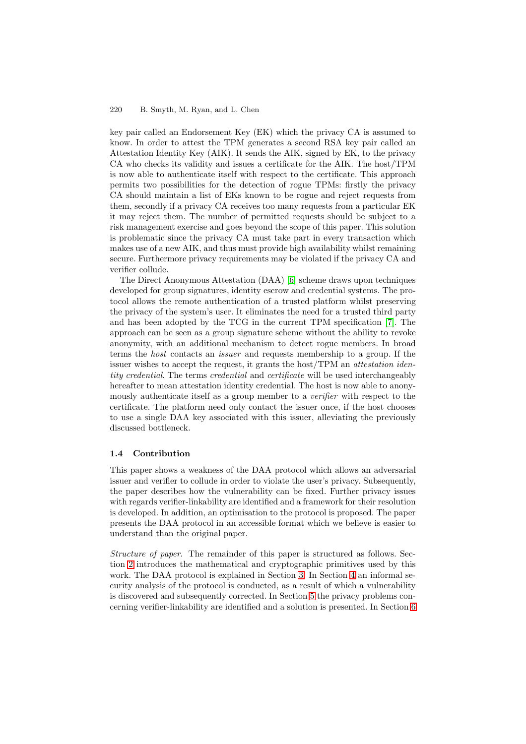key pair called an Endorsement Key (EK) which the privacy CA is assumed to know. In order to attest the TPM generates a second RSA key pair called an Attestation Identity Key (AIK). It sends the AIK, signed by EK, to the privacy CA who checks its validity and issues a certificate for the AIK. The host/TPM is now able to authenticate itself with respect to the certificate. This approach permits two possibilities for the detection of rogue TPMs: firstly the privacy CA should maintain a list of EKs known to be rogue and reject requests from them, secondly if a privacy CA receives too many requests from a particular EK it may reject them. The number of permitted requests should be subject to a risk management exercise and goes beyond the scope of this paper. This solution is problematic since the privacy CA must take part in every transaction which makes use of a new AIK, and thus must provide high availability whilst remaining secure. Furthermore privacy requirements may be violated if the privacy CA and verifier collude.

The Direct Anonymous Attestation (DAA) [\[6\]](#page-12-6) scheme draws upon techniques developed for group signatures, identity escrow and credential systems. The protocol allows the remote authentication of a trusted platform whilst preserving the privacy of the system's user. It eliminates the need for a trusted third party and has been adopted by the TCG in the current TPM specification [\[7\]](#page-13-0). The approach can be seen as a group signature scheme without the ability to revoke anonymity, with an additional mechanism to detect rogue members. In broad terms the host contacts an issuer and requests membership to a group. If the issuer wishes to accept the request, it grants the host/TPM an *attestation iden*tity credential. The terms credential and certificate will be used interchangeably hereafter to mean attestation identity credential. The host is now able to anonymously authenticate itself as a group member to a verifier with respect to the certificate. The platform need only contact the issuer once, if the host chooses to use a single DAA key associated with this issuer, alleviating the previously discussed bottleneck.

#### **1.4 Contribution**

This paper shows a weakness of the DAA protocol which allows an adversarial issuer and verifier to collude in order to violate the user's privacy. Subsequently, the paper describes how the vulnerability can be fixed. Further privacy issues with regards verifier-linkability are identified and a framework for their resolution is developed. In addition, an optimisation to the protocol is proposed. The paper presents the DAA protocol in an accessible format which we believe is easier to understand than the original paper.

Structure of paper. The remainder of this paper is structured as follows. Section [2](#page-3-0) introduces the mathematical and cryptographic primitives used by this work. The DAA protocol is explained in Section [3.](#page-3-1) In Section [4](#page-5-0) an informal security analysis of the protocol is conducted, as a result of which a vulnerability is discovered and subsequently corrected. In Section [5](#page-7-0) the privacy problems concerning verifier-linkability are identified and a solution is presented. In Section [6](#page-10-0)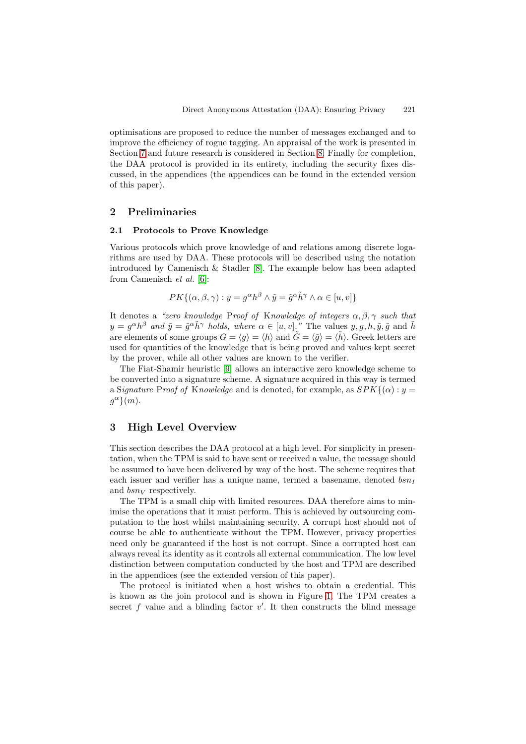optimisations are proposed to reduce the number of messages exchanged and to improve the efficiency of rogue tagging. An appraisal of the work is presented in Section [7](#page-11-0) and future research is considered in Section [8.](#page-12-7) Finally for completion, the DAA protocol is provided in its entirety, including the security fixes discussed, in the appendices (the appendices can be found in the extended version of this paper).

## <span id="page-3-0"></span>**2 Preliminaries**

#### **2.1 Protocols to Prove Knowledge**

Various protocols which prove knowledge of and relations among discrete logarithms are used by DAA. These protocols will be described using the notation introduced by Camenisch & Stadler [\[8\]](#page-13-1). The example below has been adapted from Camenisch et al. [\[6\]](#page-12-6):

$$
PK\{(\alpha,\beta,\gamma): y = g^{\alpha}h^{\beta} \wedge \tilde{y} = \tilde{g}^{\alpha}\tilde{h}^{\gamma} \wedge \alpha \in [u,v]\}
$$

It denotes a "zero knowledge Proof of Knowledge of integers  $\alpha, \beta, \gamma$  such that  $y = g^{\alpha}h^{\beta}$  and  $\tilde{y} = \tilde{g}^{\alpha}\tilde{h}^{\gamma}$  holds, where  $\alpha \in [u, v]$ . The values  $y, g, h, \tilde{y}, \tilde{g}$  and  $\tilde{h}$ are elements of some groups  $G = \langle g \rangle = \langle h \rangle$  and  $\tilde{G} = \langle \tilde{g} \rangle = \langle \tilde{h} \rangle$ . Greek letters are used for quantities of the knowledge that is being proved and values kept secret by the prover, while all other values are known to the verifier.

The Fiat-Shamir heuristic [\[9\]](#page-13-2) allows an interactive zero knowledge scheme to be converted into a signature scheme. A signature acquired in this way is termed a Signature Proof of Knowledge and is denoted, for example, as  $SPK({\alpha}): y =$  $g^{\alpha}\}(m)$ .

## <span id="page-3-1"></span>**3 High Level Overview**

This section describes the DAA protocol at a high level. For simplicity in presentation, when the TPM is said to have sent or received a value, the message should be assumed to have been delivered by way of the host. The scheme requires that each issuer and verifier has a unique name, termed a basename, denoted  $bsn_I$ and  $bsn<sub>V</sub>$  respectively.

The TPM is a small chip with limited resources. DAA therefore aims to minimise the operations that it must perform. This is achieved by outsourcing computation to the host whilst maintaining security. A corrupt host should not of course be able to authenticate without the TPM. However, privacy properties need only be guaranteed if the host is not corrupt. Since a corrupted host can always reveal its identity as it controls all external communication. The low level distinction between computation conducted by the host and TPM are described in the appendices (see the extended version of this paper).

The protocol is initiated when a host wishes to obtain a credential. This is known as the join protocol and is shown in Figure [1.](#page-5-1) The TPM creates a secret  $f$  value and a blinding factor  $v'$ . It then constructs the blind message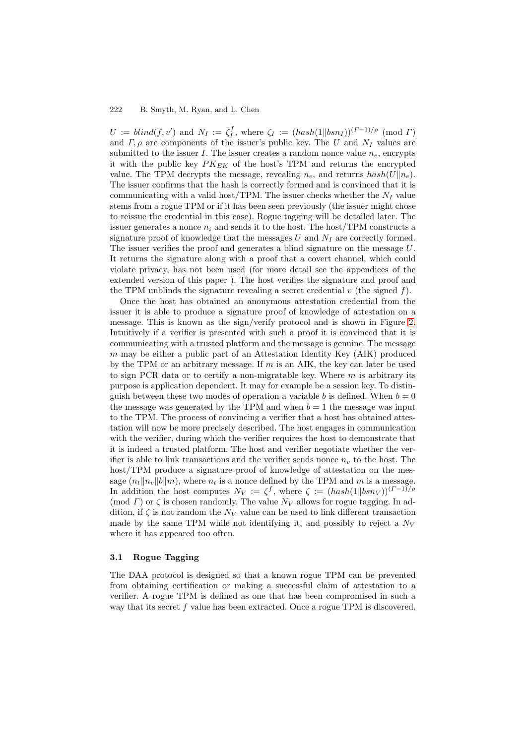$U := blind(f, v')$  and  $N_I := \zeta_I^f$ , where  $\zeta_I := (hash(1||bsn_I))^{(T-1)/\rho} \pmod{I}$ and  $\Gamma$ ,  $\rho$  are components of the issuer's public key. The U and  $N_I$  values are submitted to the issuer I. The issuer creates a random nonce value  $n_e$ , encrypts it with the public key  $PK_{EK}$  of the host's TPM and returns the encrypted value. The TPM decrypts the message, revealing  $n_e$ , and returns  $hash(U||n_e)$ . The issuer confirms that the hash is correctly formed and is convinced that it is communicating with a valid host/TPM. The issuer checks whether the  $N_I$  value stems from a rogue TPM or if it has been seen previously (the issuer might chose to reissue the credential in this case). Rogue tagging will be detailed later. The issuer generates a nonce  $n_i$  and sends it to the host. The host/TPM constructs a signature proof of knowledge that the messages  $U$  and  $N_I$  are correctly formed. The issuer verifies the proof and generates a blind signature on the message U. It returns the signature along with a proof that a covert channel, which could violate privacy, has not been used (for more detail see the appendices of the extended version of this paper ). The host verifies the signature and proof and the TPM unblinds the signature revealing a secret credential  $v$  (the signed  $f$ ).

Once the host has obtained an anonymous attestation credential from the issuer it is able to produce a signature proof of knowledge of attestation on a message. This is known as the sign/verify protocol and is shown in Figure [2.](#page-5-2) Intuitively if a verifier is presented with such a proof it is convinced that it is communicating with a trusted platform and the message is genuine. The message m may be either a public part of an Attestation Identity Key (AIK) produced by the TPM or an arbitrary message. If  $m$  is an AIK, the key can later be used to sign PCR data or to certify a non-migratable key. Where  $m$  is arbitrary its purpose is application dependent. It may for example be a session key. To distinguish between these two modes of operation a variable b is defined. When  $b = 0$ the message was generated by the TPM and when  $b = 1$  the message was input to the TPM. The process of convincing a verifier that a host has obtained attestation will now be more precisely described. The host engages in communication with the verifier, during which the verifier requires the host to demonstrate that it is indeed a trusted platform. The host and verifier negotiate whether the verifier is able to link transactions and the verifier sends nonce  $n_v$  to the host. The host/TPM produce a signature proof of knowledge of attestation on the message  $(n_t||n_t||b||m)$ , where  $n_t$  is a nonce defined by the TPM and m is a message. In addition the host computes  $N_V := \zeta^f$ , where  $\zeta := (hash(1||bsn_V))^{(\Gamma-1)/\rho}$ (mod  $\Gamma$ ) or  $\zeta$  is chosen randomly. The value  $N_V$  allows for rogue tagging. In addition, if  $\zeta$  is not random the  $N_V$  value can be used to link different transaction made by the same TPM while not identifying it, and possibly to reject a  $N_V$ where it has appeared too often.

#### **3.1 Rogue Tagging**

The DAA protocol is designed so that a known rogue TPM can be prevented from obtaining certification or making a successful claim of attestation to a verifier. A rogue TPM is defined as one that has been compromised in such a way that its secret  $f$  value has been extracted. Once a rogue TPM is discovered,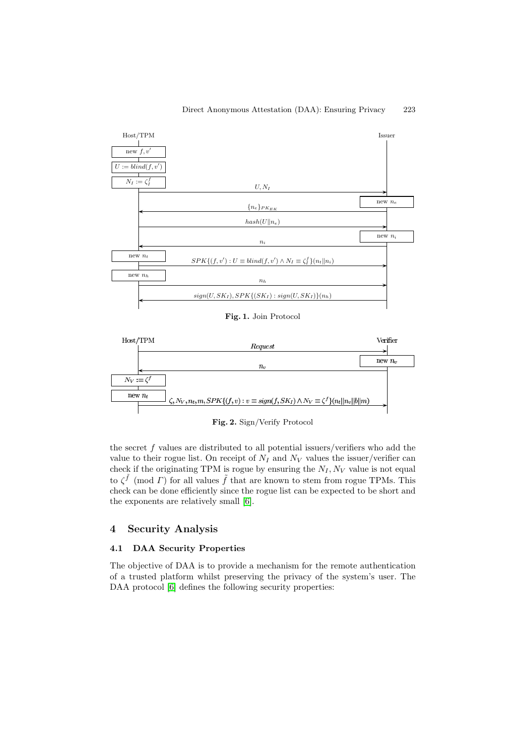

<span id="page-5-1"></span>**Fig. 1.** Join Protocol



<span id="page-5-2"></span>**Fig. 2.** Sign/Verify Protocol

the secret  $f$  values are distributed to all potential issuers/verifiers who add the value to their rogue list. On receipt of  $N_I$  and  $N_V$  values the issuer/verifier can check if the originating TPM is rogue by ensuring the  $N_I, N_V$  value is not equal to  $\zeta^{\tilde{f}}$  (mod  $\Gamma$ ) for all values  $\tilde{f}$  that are known to stem from rogue TPMs. This check can be done efficiently since the rogue list can be expected to be short and the exponents are relatively small [\[6\]](#page-12-6).

## <span id="page-5-0"></span>**4 Security Analysis**

## <span id="page-5-3"></span>**4.1 DAA Security Properties**

The objective of DAA is to provide a mechanism for the remote authentication of a trusted platform whilst preserving the privacy of the system's user. The DAA protocol [\[6\]](#page-12-6) defines the following security properties: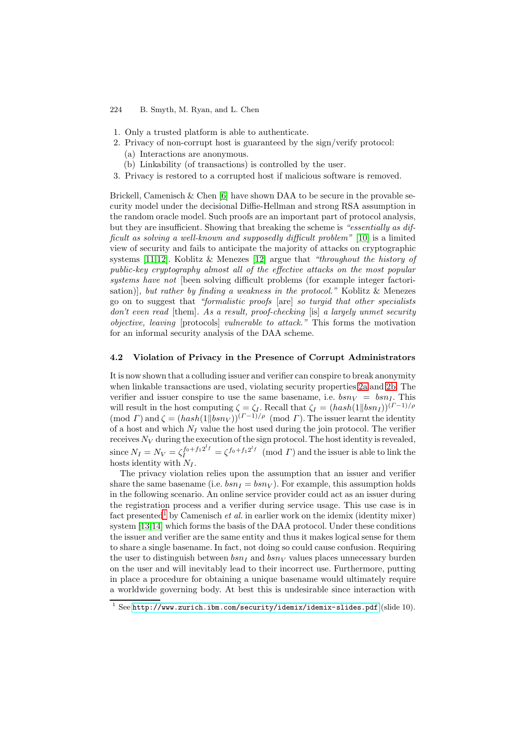- <span id="page-6-0"></span>1. Only a trusted platform is able to authenticate.
- <span id="page-6-1"></span>2. Privacy of non-corrupt host is guaranteed by the sign/verify protocol:
	- (a) Interactions are anonymous.
	- (b) Linkability (of transactions) is controlled by the user.
- 3. Privacy is restored to a corrupted host if malicious software is removed.

Brickell, Camenisch & Chen  $[6]$  have shown DAA to be secure in the provable security model under the decisional Diffie-Hellman and strong RSA assumption in the random oracle model. Such proofs are an important part of protocol analysis, but they are insufficient. Showing that breaking the scheme is "essentially as difficult as solving a well-known and supposedly difficult problem" [\[10\]](#page-13-3) is a limited view of security and fails to anticipate the majority of attacks on cryptographic systems [\[11](#page-13-4)[,12\]](#page-13-5). Koblitz  $\&$  Menezes [\[12\]](#page-13-5) argue that "throughout the history of public-key cryptography almost all of the effective attacks on the most popular systems have not [been solving difficult problems (for example integer factorisation)], but rather by finding a weakness in the protocol." Koblitz & Menezes go on to suggest that "formalistic proofs [are] so turgid that other specialists  $don't\; even\; read\; [them].\; As\; a\; result,\; proof-checking\; [is]\; a\; largely\; unmet\; security$ objective, leaving [protocols] vulnerable to attack." This forms the motivation for an informal security analysis of the DAA scheme.

#### **4.2 Violation of Privacy in the Presence of Corrupt Administrators**

It is now shown that a colluding issuer and verifier can conspire to break anonymity when linkable transactions are used, violating security properties [2a](#page-6-0) and [2b.](#page-6-1) The verifier and issuer conspire to use the same basename, i.e.  $bsn_V = bsn_I$ . This will result in the host computing  $\zeta = \zeta_I$ . Recall that  $\zeta_I = (hash(1||bsn_I))^{(T-1)/\rho}$ (mod *Γ*) and  $\zeta = (hash(1||bsn_V))^{(\Gamma-1)/\rho}$  (mod *Γ*). The issuer learnt the identity of a host and which  $N_I$  value the host used during the join protocol. The verifier receives  $N_V$  during the execution of the sign protocol. The host identity is revealed, since  $N_I = N_V = \zeta_I^{f_0 + f_1 2^{l_f}} = \zeta^{f_0 + f_1 2^{l_f}} \pmod{I}$  and the issuer is able to link the hosts identity with  $N_I$ .

The privacy violation relies upon the assumption that an issuer and verifier share the same basename (i.e.  $bsn_I = bsn_V$ ). For example, this assumption holds in the following scenario. An online service provider could act as an issuer during the registration process and a verifier during service usage. This use case is in fact presented<sup>[1](#page-6-2)</sup> by Camenisch *et al.* in earlier work on the idemix (identity mixer) system [\[13,](#page-13-6)[14\]](#page-13-7) which forms the basis of the DAA protocol. Under these conditions the issuer and verifier are the same entity and thus it makes logical sense for them to share a single basename. In fact, not doing so could cause confusion. Requiring the user to distinguish between  $bsn_I$  and  $bsn_V$  values places unnecessary burden on the user and will inevitably lead to their incorrect use. Furthermore, putting in place a procedure for obtaining a unique basename would ultimately require a worldwide governing body. At best this is undesirable since interaction with

<span id="page-6-2"></span> $\frac{1}{1}$  See <http://www.zurich.ibm.com/security/idemix/idemix-slides.pdf> (slide 10).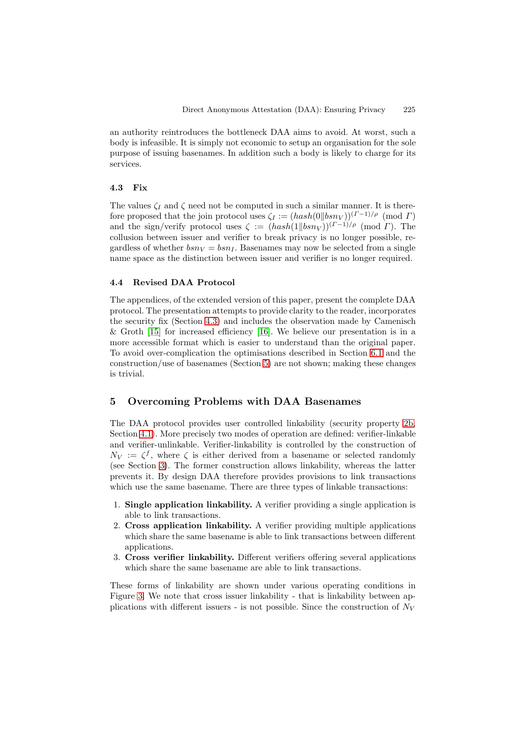an authority reintroduces the bottleneck DAA aims to avoid. At worst, such a body is infeasible. It is simply not economic to setup an organisation for the sole purpose of issuing basenames. In addition such a body is likely to charge for its services.

#### <span id="page-7-1"></span>**4.3 Fix**

The values  $\zeta_I$  and  $\zeta_I$  need not be computed in such a similar manner. It is therefore proposed that the join protocol uses  $\zeta_I := (hash(0||bsn_V))^{(\Gamma-1)/\rho} \pmod{\Gamma}$ and the sign/verify protocol uses  $\zeta := (hash(1||bsn_V))^{(\Gamma-1)/\rho} \pmod{\Gamma}$ . The collusion between issuer and verifier to break privacy is no longer possible, regardless of whether  $bsnv = bsnv$ . Basenames may now be selected from a single name space as the distinction between issuer and verifier is no longer required.

#### **4.4 Revised DAA Protocol**

The appendices, of the extended version of this paper, present the complete DAA protocol. The presentation attempts to provide clarity to the reader, incorporates the security fix (Section [4.3\)](#page-7-1) and includes the observation made by Camenisch & Groth [\[15\]](#page-13-8) for increased efficiency [\[16\]](#page-13-9). We believe our presentation is in a more accessible format which is easier to understand than the original paper. To avoid over-complication the optimisations described in Section [6.1](#page-10-1) and the construction/use of basenames (Section [5\)](#page-7-0) are not shown; making these changes is trivial.

## <span id="page-7-0"></span>**5 Overcoming Problems with DAA Basenames**

The DAA protocol provides user controlled linkability (security property [2b,](#page-6-1) Section [4.1\)](#page-5-3). More precisely two modes of operation are defined: verifier-linkable and verifier-unlinkable. Verifier-linkability is controlled by the construction of  $N_V := \zeta^f$ , where  $\zeta$  is either derived from a basename or selected randomly (see Section [3\)](#page-3-1). The former construction allows linkability, whereas the latter prevents it. By design DAA therefore provides provisions to link transactions which use the same basename. There are three types of linkable transactions:

- 1. **Single application linkability.** A verifier providing a single application is able to link transactions.
- 2. **Cross application linkability.** A verifier providing multiple applications which share the same basename is able to link transactions between different applications.
- 3. **Cross verifier linkability.** Different verifiers offering several applications which share the same basename are able to link transactions.

These forms of linkability are shown under various operating conditions in Figure [3.](#page-9-0) We note that cross issuer linkability - that is linkability between applications with different issuers - is not possible. Since the construction of  $N_V$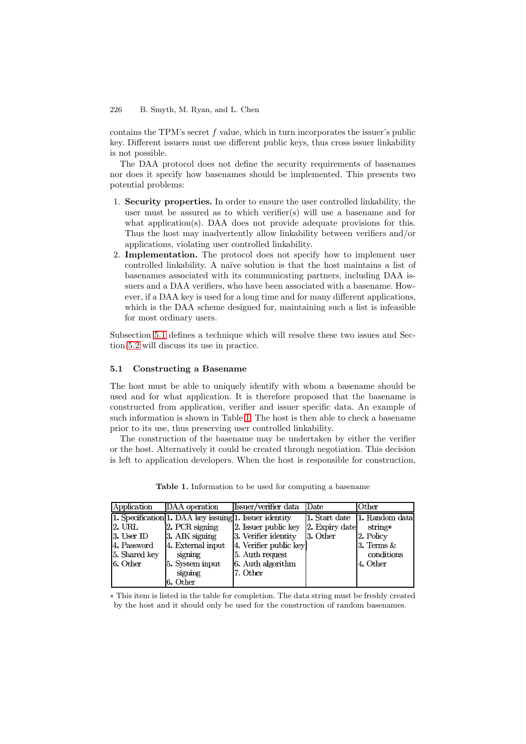contains the TPM's secret  $f$  value, which in turn incorporates the issuer's public key. Different issuers must use different public keys, thus cross issuer linkability is not possible.

The DAA protocol does not define the security requirements of basenames nor does it specify how basenames should be implemented. This presents two potential problems:

- 1. **Security properties.** In order to ensure the user controlled linkability, the user must be assured as to which verifier(s) will use a basename and for what application(s). DAA does not provide adequate provisions for this. Thus the host may inadvertently allow linkability between verifiers and/or applications, violating user controlled linkability.
- 2. **Implementation.** The protocol does not specify how to implement user controlled linkability. A naïve solution is that the host maintains a list of basenames associated with its communicating partners, including DAA issuers and a DAA verifiers, who have been associated with a basename. However, if a DAA key is used for a long time and for many different applications, which is the DAA scheme designed for, maintaining such a list is infeasible for most ordinary users.

Subsection [5.1](#page-8-0) defines a technique which will resolve these two issues and Section [5.2](#page-9-1) will discuss its use in practice.

#### <span id="page-8-0"></span>**5.1 Constructing a Basename**

The host must be able to uniquely identify with whom a basename should be used and for what application. It is therefore proposed that the basename is constructed from application, verifier and issuer specific data. An example of such information is shown in Table [1.](#page-8-1) The host is then able to check a basename prior to its use, thus preserving user controlled linkability.

The construction of the basename may be undertaken by either the verifier or the host. Alternatively it could be created through negotiation. This decision is left to application developers. When the host is responsible for construction,

<span id="page-8-1"></span>

| Application   | DAA operation                                          | Issuer/verifier data Date |                | Other                           |
|---------------|--------------------------------------------------------|---------------------------|----------------|---------------------------------|
|               | 1. Specification 1. DAA key issuing 1. Issuer identity |                           |                | 11. Start date 11. Random datal |
| 2. URL        | 2. PCR signing                                         | 2. Issuer public key      | 2. Expiry date | $string*$                       |
| $3.$ User ID  | 3. AIK signing                                         | 3. Verifier identity      | 3. Other       | 2. Policy                       |
| 4. Password   | 4. External input                                      | 4. Verifier public key    |                | $3.$ Terms $\&$                 |
| 5. Shared key | signing                                                | 5. Auth request           |                | conditions                      |
| 6. Other      | 5. System input                                        | 6. Auth algorithm         |                | 4. Other                        |
|               | signing                                                | 7. Other                  |                |                                 |
|               | 6. Other                                               |                           |                |                                 |

**Table 1.** Information to be used for computing a basename

∗ This item is listed in the table for completion. The data string must be freshly created by the host and it should only be used for the construction of random basenames.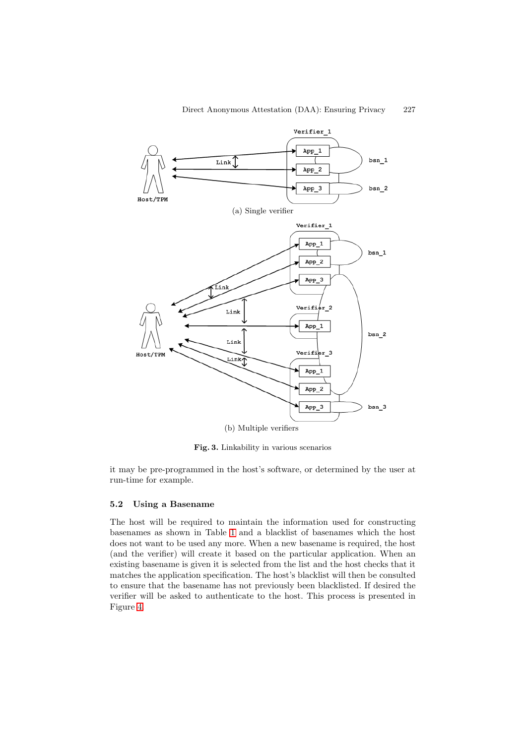

(b) Multiple verifiers

 $App_3$ 

 $bsn_3$ 

<span id="page-9-0"></span>**Fig. 3.** Linkability in various scenarios

it may be pre-programmed in the host's software, or determined by the user at run-time for example.

## <span id="page-9-1"></span>**5.2 Using a Basename**

The host will be required to maintain the information used for constructing basenames as shown in Table [1](#page-8-1) and a blacklist of basenames which the host does not want to be used any more. When a new basename is required, the host (and the verifier) will create it based on the particular application. When an existing basename is given it is selected from the list and the host checks that it matches the application specification. The host's blacklist will then be consulted to ensure that the basename has not previously been blacklisted. If desired the verifier will be asked to authenticate to the host. This process is presented in Figure [4.](#page-10-2)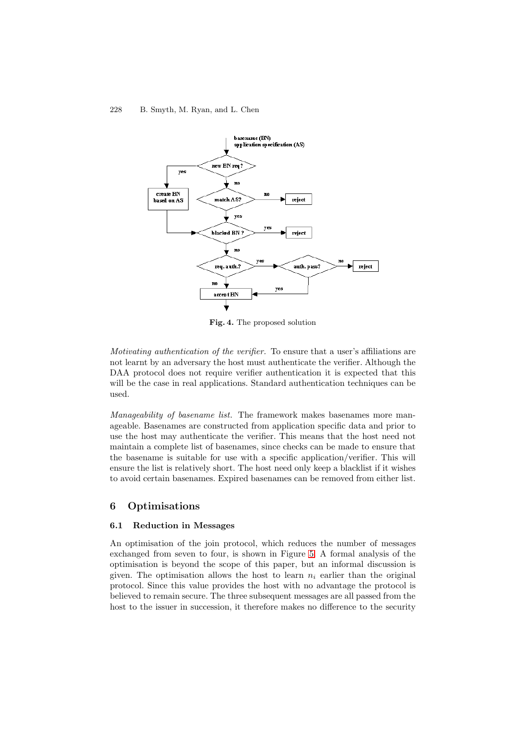

<span id="page-10-2"></span>**Fig. 4.** The proposed solution

Motivating authentication of the verifier. To ensure that a user's affiliations are not learnt by an adversary the host must authenticate the verifier. Although the DAA protocol does not require verifier authentication it is expected that this will be the case in real applications. Standard authentication techniques can be used.

Manageability of basename list. The framework makes basenames more manageable. Basenames are constructed from application specific data and prior to use the host may authenticate the verifier. This means that the host need not maintain a complete list of basenames, since checks can be made to ensure that the basename is suitable for use with a specific application/verifier. This will ensure the list is relatively short. The host need only keep a blacklist if it wishes to avoid certain basenames. Expired basenames can be removed from either list.

## <span id="page-10-0"></span>**6 Optimisations**

## <span id="page-10-1"></span>**6.1 Reduction in Messages**

An optimisation of the join protocol, which reduces the number of messages exchanged from seven to four, is shown in Figure [5.](#page-11-1) A formal analysis of the optimisation is beyond the scope of this paper, but an informal discussion is given. The optimisation allows the host to learn  $n_i$  earlier than the original protocol. Since this value provides the host with no advantage the protocol is believed to remain secure. The three subsequent messages are all passed from the host to the issuer in succession, it therefore makes no difference to the security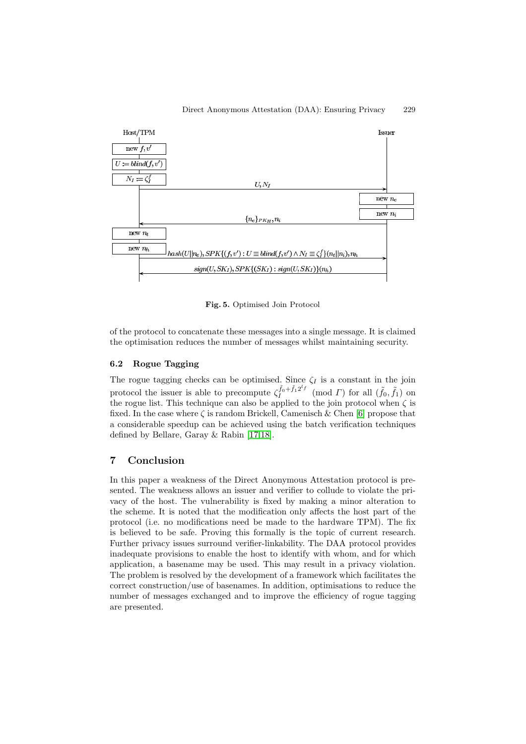

<span id="page-11-1"></span>**Fig. 5.** Optimised Join Protocol

of the protocol to concatenate these messages into a single message. It is claimed the optimisation reduces the number of messages whilst maintaining security.

## **6.2 Rogue Tagging**

The rogue tagging checks can be optimised. Since  $\zeta_I$  is a constant in the join protocol the issuer is able to precompute  $\zeta_I^{\tilde{f}_0+\tilde{f}_12^{l_f}} \pmod{I}$  for all  $(\tilde{f}_0, \tilde{f}_1)$  on the rogue list. This technique can also be applied to the join protocol when  $\zeta$  is fixed. In the case where  $\zeta$  is random Brickell, Camenisch & Chen [\[6\]](#page-12-6) propose that a considerable speedup can be achieved using the batch verification techniques defined by Bellare, Garay & Rabin [\[17](#page-13-10)[,18\]](#page-13-11).

## <span id="page-11-0"></span>**7 Conclusion**

In this paper a weakness of the Direct Anonymous Attestation protocol is presented. The weakness allows an issuer and verifier to collude to violate the privacy of the host. The vulnerability is fixed by making a minor alteration to the scheme. It is noted that the modification only affects the host part of the protocol (i.e. no modifications need be made to the hardware TPM). The fix is believed to be safe. Proving this formally is the topic of current research. Further privacy issues surround verifier-linkability. The DAA protocol provides inadequate provisions to enable the host to identify with whom, and for which application, a basename may be used. This may result in a privacy violation. The problem is resolved by the development of a framework which facilitates the correct construction/use of basenames. In addition, optimisations to reduce the number of messages exchanged and to improve the efficiency of rogue tagging are presented.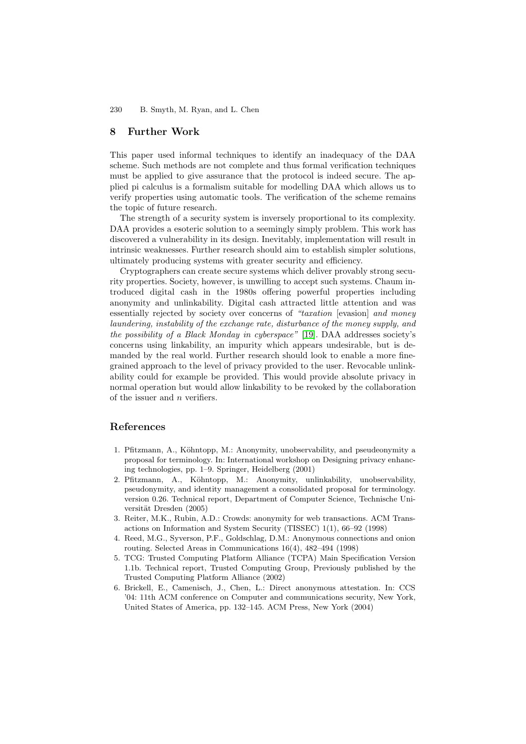## <span id="page-12-7"></span>**8 Further Work**

This paper used informal techniques to identify an inadequacy of the DAA scheme. Such methods are not complete and thus formal verification techniques must be applied to give assurance that the protocol is indeed secure. The applied pi calculus is a formalism suitable for modelling DAA which allows us to verify properties using automatic tools. The verification of the scheme remains the topic of future research.

The strength of a security system is inversely proportional to its complexity. DAA provides a esoteric solution to a seemingly simply problem. This work has discovered a vulnerability in its design. Inevitably, implementation will result in intrinsic weaknesses. Further research should aim to establish simpler solutions, ultimately producing systems with greater security and efficiency.

Cryptographers can create secure systems which deliver provably strong security properties. Society, however, is unwilling to accept such systems. Chaum introduced digital cash in the 1980s offering powerful properties including anonymity and unlinkability. Digital cash attracted little attention and was essentially rejected by society over concerns of "taxation [evasion] and money laundering, instability of the exchange rate, disturbance of the money supply, and the possibility of a Black Monday in cyberspace" [\[19\]](#page-13-12). DAA addresses society's concerns using linkability, an impurity which appears undesirable, but is demanded by the real world. Further research should look to enable a more finegrained approach to the level of privacy provided to the user. Revocable unlinkability could for example be provided. This would provide absolute privacy in normal operation but would allow linkability to be revoked by the collaboration of the issuer and  $n$  verifiers.

## <span id="page-12-1"></span><span id="page-12-0"></span>**References**

- 1. Pfitzmann, A., Köhntopp, M.: Anonymity, unobservability, and pseudeonymity a proposal for terminology. In: International workshop on Designing privacy enhancing technologies, pp. 1–9. Springer, Heidelberg (2001)
- <span id="page-12-2"></span>2. Pfitzmann, A., Köhntopp, M.: Anonymity, unlinkability, unobservability, pseudonymity, and identity management a consolidated proposal for terminology. version 0.26. Technical report, Department of Computer Science, Technische Universität Dresden (2005)
- <span id="page-12-3"></span>3. Reiter, M.K., Rubin, A.D.: Crowds: anonymity for web transactions. ACM Transactions on Information and System Security (TISSEC) 1(1), 66–92 (1998)
- <span id="page-12-4"></span>4. Reed, M.G., Syverson, P.F., Goldschlag, D.M.: Anonymous connections and onion routing. Selected Areas in Communications 16(4), 482–494 (1998)
- <span id="page-12-5"></span>5. TCG: Trusted Computing Platform Alliance (TCPA) Main Specification Version 1.1b. Technical report, Trusted Computing Group, Previously published by the Trusted Computing Platform Alliance (2002)
- <span id="page-12-6"></span>6. Brickell, E., Camenisch, J., Chen, L.: Direct anonymous attestation. In: CCS '04: 11th ACM conference on Computer and communications security, New York, United States of America, pp. 132–145. ACM Press, New York (2004)